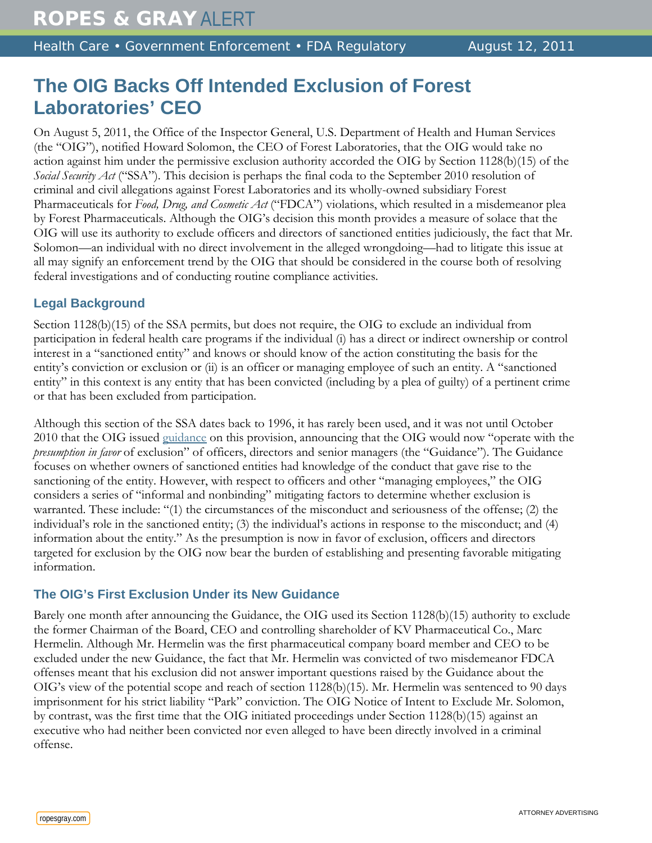# **The OIG Backs Off Intended Exclusion of Forest Laboratories' CEO**

On August 5, 2011, the Office of the Inspector General, U.S. Department of Health and Human Services (the "OIG"), notified Howard Solomon, the CEO of Forest Laboratories, that the OIG would take no action against him under the permissive exclusion authority accorded the OIG by Section 1128(b)(15) of the *Social Security Act* ("SSA"). This decision is perhaps the final coda to the September 2010 resolution of criminal and civil allegations against Forest Laboratories and its wholly-owned subsidiary Forest Pharmaceuticals for *Food, Drug, and Cosmetic Act* ("FDCA") violations, which resulted in a misdemeanor plea by Forest Pharmaceuticals. Although the OIG's decision this month provides a measure of solace that the OIG will use its authority to exclude officers and directors of sanctioned entities judiciously, the fact that Mr. Solomon—an individual with no direct involvement in the alleged wrongdoing—had to litigate this issue at all may signify an enforcement trend by the OIG that should be considered in the course both of resolving federal investigations and of conducting routine compliance activities.

# **Legal Background**

Section 1128(b)(15) of the SSA permits, but does not require, the OIG to exclude an individual from participation in federal health care programs if the individual (i) has a direct or indirect ownership or control interest in a "sanctioned entity" and knows or should know of the action constituting the basis for the entity's conviction or exclusion or (ii) is an officer or managing employee of such an entity. A "sanctioned entity" in this context is any entity that has been convicted (including by a plea of guilty) of a pertinent crime or that has been excluded from participation.

Although this section of the SSA dates back to 1996, it has rarely been used, and it was not until October 2010 that the OIG issued [guidance](http://oig.hhs.gov/fraud/exclusions/files/permissive_excl_under_1128b15_10192010.pdf) on this provision, announcing that the OIG would now "operate with the *presumption in favor* of exclusion" of officers, directors and senior managers (the "Guidance"). The Guidance focuses on whether owners of sanctioned entities had knowledge of the conduct that gave rise to the sanctioning of the entity. However, with respect to officers and other "managing employees," the OIG considers a series of "informal and nonbinding" mitigating factors to determine whether exclusion is warranted. These include: "(1) the circumstances of the misconduct and seriousness of the offense; (2) the individual's role in the sanctioned entity; (3) the individual's actions in response to the misconduct; and (4) information about the entity." As the presumption is now in favor of exclusion, officers and directors targeted for exclusion by the OIG now bear the burden of establishing and presenting favorable mitigating information.

# **The OIG's First Exclusion Under its New Guidance**

Barely one month after announcing the Guidance, the OIG used its Section 1128(b)(15) authority to exclude the former Chairman of the Board, CEO and controlling shareholder of KV Pharmaceutical Co., Marc Hermelin. Although Mr. Hermelin was the first pharmaceutical company board member and CEO to be excluded under the new Guidance, the fact that Mr. Hermelin was convicted of two misdemeanor FDCA offenses meant that his exclusion did not answer important questions raised by the Guidance about the OIG's view of the potential scope and reach of section 1128(b)(15). Mr. Hermelin was sentenced to 90 days imprisonment for his strict liability "Park" conviction. The OIG Notice of Intent to Exclude Mr. Solomon, by contrast, was the first time that the OIG initiated proceedings under Section 1128(b)(15) against an executive who had neither been convicted nor even alleged to have been directly involved in a criminal offense.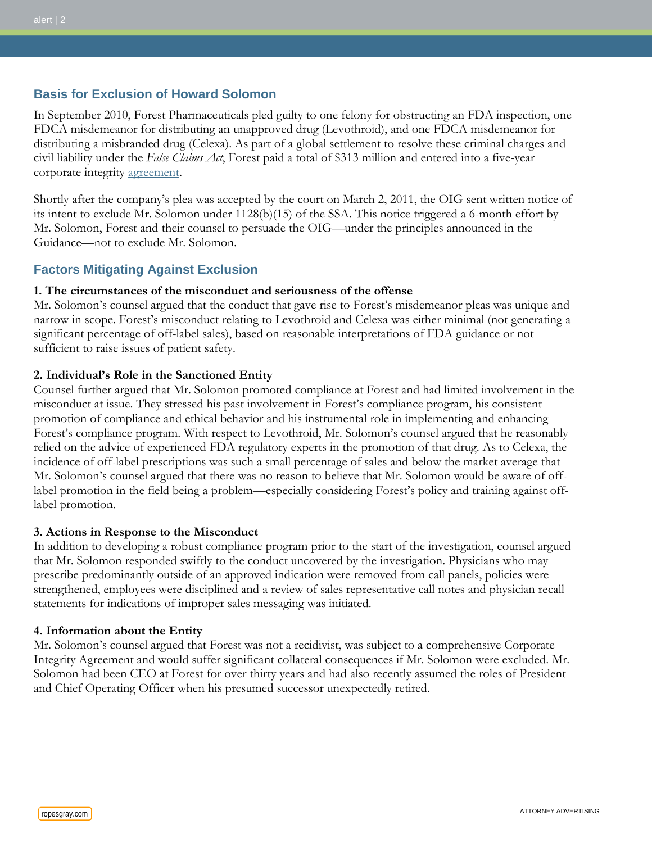## **Basis for Exclusion of Howard Solomon**

In September 2010, Forest Pharmaceuticals pled guilty to one felony for obstructing an FDA inspection, one FDCA misdemeanor for distributing an unapproved drug (Levothroid), and one FDCA misdemeanor for distributing a misbranded drug (Celexa). As part of a global settlement to resolve these criminal charges and civil liability under the *False Claims Act*, Forest paid a total of \$313 million and entered into a five-year corporate integrity [agreement.](http://www.justice.gov/opa/pr/2010/September/10-civ-1028.html)

Shortly after the company's plea was accepted by the court on March 2, 2011, the OIG sent written notice of its intent to exclude Mr. Solomon under 1128(b)(15) of the SSA. This notice triggered a 6-month effort by Mr. Solomon, Forest and their counsel to persuade the OIG—under the principles announced in the Guidance—not to exclude Mr. Solomon.

## **Factors Mitigating Against Exclusion**

#### **1. The circumstances of the misconduct and seriousness of the offense**

Mr. Solomon's counsel argued that the conduct that gave rise to Forest's misdemeanor pleas was unique and narrow in scope. Forest's misconduct relating to Levothroid and Celexa was either minimal (not generating a significant percentage of off-label sales), based on reasonable interpretations of FDA guidance or not sufficient to raise issues of patient safety.

### **2. Individual's Role in the Sanctioned Entity**

Counsel further argued that Mr. Solomon promoted compliance at Forest and had limited involvement in the misconduct at issue. They stressed his past involvement in Forest's compliance program, his consistent promotion of compliance and ethical behavior and his instrumental role in implementing and enhancing Forest's compliance program. With respect to Levothroid, Mr. Solomon's counsel argued that he reasonably relied on the advice of experienced FDA regulatory experts in the promotion of that drug. As to Celexa, the incidence of off-label prescriptions was such a small percentage of sales and below the market average that Mr. Solomon's counsel argued that there was no reason to believe that Mr. Solomon would be aware of offlabel promotion in the field being a problem—especially considering Forest's policy and training against offlabel promotion.

#### **3. Actions in Response to the Misconduct**

In addition to developing a robust compliance program prior to the start of the investigation, counsel argued that Mr. Solomon responded swiftly to the conduct uncovered by the investigation. Physicians who may prescribe predominantly outside of an approved indication were removed from call panels, policies were strengthened, employees were disciplined and a review of sales representative call notes and physician recall statements for indications of improper sales messaging was initiated.

#### **4. Information about the Entity**

Mr. Solomon's counsel argued that Forest was not a recidivist, was subject to a comprehensive Corporate Integrity Agreement and would suffer significant collateral consequences if Mr. Solomon were excluded. Mr. Solomon had been CEO at Forest for over thirty years and had also recently assumed the roles of President and Chief Operating Officer when his presumed successor unexpectedly retired.